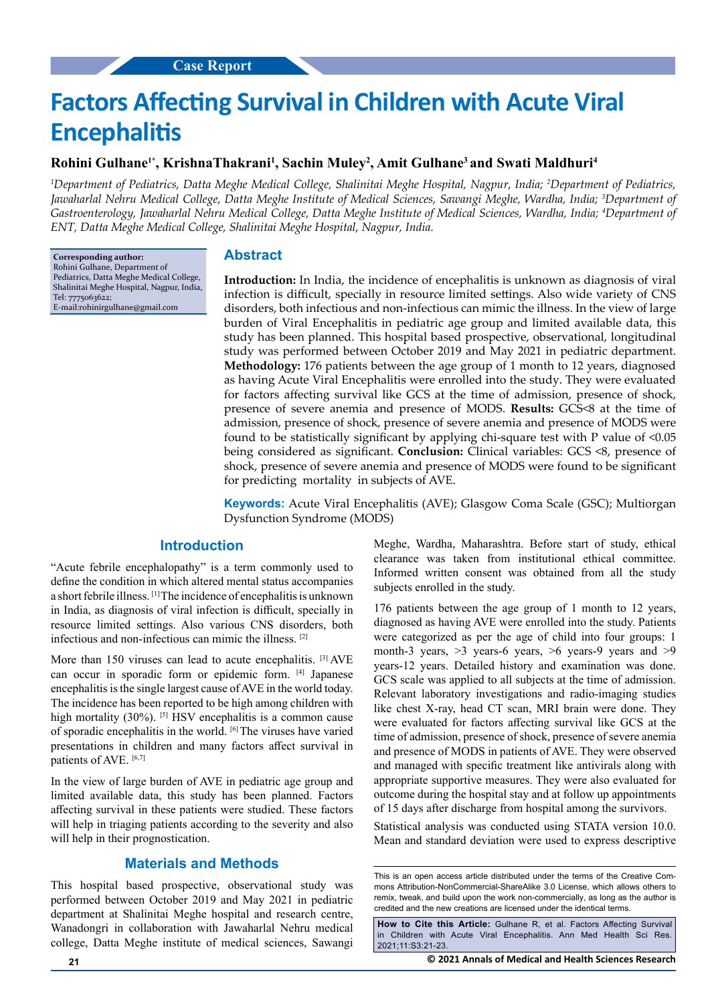# **Factors Affecting Survival in Children with Acute Viral Encephalitis**

## **Rohini Gulhane1\*, KrishnaThakrani1 , Sachin Muley2 , Amit Gulhane3 and Swati Maldhuri4**

*1 Department of Pediatrics, Datta Meghe Medical College, Shalinitai Meghe Hospital, Nagpur, India; 2 Department of Pediatrics, Jawaharlal Nehru Medical College, Datta Meghe Institute of Medical Sciences, Sawangi Meghe, Wardha, India; 3 Department of Gastroenterology, Jawaharlal Nehru Medical College, Datta Meghe Institute of Medical Sciences, Wardha, India; 4 Department of ENT, Datta Meghe Medical College, Shalinitai Meghe Hospital, Nagpur, India.*

**Corresponding author:** Rohini Gulhane, Department of Pediatrics, Datta Meghe Medical College, Shalinitai Meghe Hospital, Nagpur, India, Tel: 7775063622; E-mail:rohinirgulhane@gmail.com

#### **Abstract**

**Introduction:** In India, the incidence of encephalitis is unknown as diagnosis of viral infection is difficult, specially in resource limited settings. Also wide variety of CNS disorders, both infectious and non-infectious can mimic the illness. In the view of large burden of Viral Encephalitis in pediatric age group and limited available data, this study has been planned. This hospital based prospective, observational, longitudinal study was performed between October 2019 and May 2021 in pediatric department. **Methodology:** 176 patients between the age group of 1 month to 12 years, diagnosed as having Acute Viral Encephalitis were enrolled into the study. They were evaluated for factors affecting survival like GCS at the time of admission, presence of shock, presence of severe anemia and presence of MODS. **Results:** GCS<8 at the time of admission, presence of shock, presence of severe anemia and presence of MODS were found to be statistically significant by applying chi-square test with  $P$  value of  $\leq 0.05$ being considered as significant. **Conclusion:** Clinical variables: GCS <8, presence of shock, presence of severe anemia and presence of MODS were found to be significant for predicting mortality in subjects of AVE.

**Keywords:** Acute Viral Encephalitis (AVE); Glasgow Coma Scale (GSC); Multiorgan Dysfunction Syndrome (MODS)

## **Introduction**

"Acute febrile encephalopathy" is a term commonly used to define the condition in which altered mental status accompanies a short febrile illness. [1] The incidence of encephalitis is unknown in India, as diagnosis of viral infection is difficult, specially in resource limited settings. Also various CNS disorders, both infectious and non-infectious can mimic the illness. [2]

More than 150 viruses can lead to acute encephalitis. [3] AVE can occur in sporadic form or epidemic form. [4] Japanese encephalitis is the single largest cause of AVE in the world today. The incidence has been reported to be high among children with high mortality (30%). <sup>[5]</sup> HSV encephalitis is a common cause of sporadic encephalitis in the world. [6] The viruses have varied presentations in children and many factors affect survival in patients of AVE. [6,7]

In the view of large burden of AVE in pediatric age group and limited available data, this study has been planned. Factors affecting survival in these patients were studied. These factors will help in triaging patients according to the severity and also will help in their prognostication.

## **Materials and Methods**

This hospital based prospective, observational study was performed between October 2019 and May 2021 in pediatric department at Shalinitai Meghe hospital and research centre, Wanadongri in collaboration with Jawaharlal Nehru medical college, Datta Meghe institute of medical sciences, Sawangi Meghe, Wardha, Maharashtra. Before start of study, ethical clearance was taken from institutional ethical committee. Informed written consent was obtained from all the study subjects enrolled in the study.

176 patients between the age group of 1 month to 12 years, diagnosed as having AVE were enrolled into the study. Patients were categorized as per the age of child into four groups: 1 month-3 years,  $>3$  years-6 years,  $>6$  years-9 years and  $>9$ years-12 years. Detailed history and examination was done. GCS scale was applied to all subjects at the time of admission. Relevant laboratory investigations and radio-imaging studies like chest X-ray, head CT scan, MRI brain were done. They were evaluated for factors affecting survival like GCS at the time of admission, presence of shock, presence of severe anemia and presence of MODS in patients of AVE. They were observed and managed with specific treatment like antivirals along with appropriate supportive measures. They were also evaluated for outcome during the hospital stay and at follow up appointments of 15 days after discharge from hospital among the survivors.

Statistical analysis was conducted using STATA version 10.0. Mean and standard deviation were used to express descriptive

**How to Cite this Article:** Gulhane R, et al. Factors Affecting Survival in Children with Acute Viral Encephalitis. Ann Med Health Sci Res. 2021;11:S3:21-23.

**21 © 2021 Annals of Medical and Health Sciences Research** 

This is an open access article distributed under the terms of the Creative Commons Attribution-NonCommercial-ShareAlike 3.0 License, which allows others to remix, tweak, and build upon the work non‑commercially, as long as the author is credited and the new creations are licensed under the identical terms.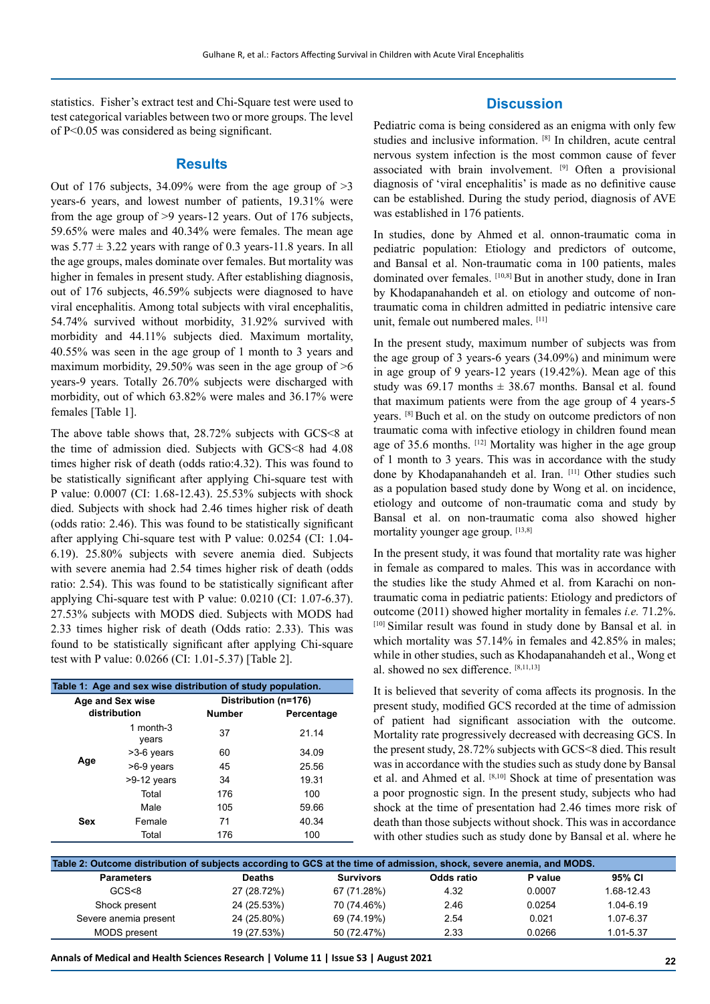statistics. Fisher's extract test and Chi-Square test were used to test categorical variables between two or more groups. The level of P<0.05 was considered as being significant.

#### **Results**

Out of 176 subjects,  $34.09\%$  were from the age group of  $>3$ years-6 years, and lowest number of patients, 19.31% were from the age group of >9 years-12 years. Out of 176 subjects, 59.65% were males and 40.34% were females. The mean age was  $5.77 \pm 3.22$  years with range of 0.3 years-11.8 years. In all the age groups, males dominate over females. But mortality was higher in females in present study. After establishing diagnosis, out of 176 subjects, 46.59% subjects were diagnosed to have viral encephalitis. Among total subjects with viral encephalitis, 54.74% survived without morbidity, 31.92% survived with morbidity and 44.11% subjects died. Maximum mortality, 40.55% was seen in the age group of 1 month to 3 years and maximum morbidity, 29.50% was seen in the age group of  $>6$ years-9 years. Totally 26.70% subjects were discharged with morbidity, out of which 63.82% were males and 36.17% were females [Table 1].

The above table shows that, 28.72% subjects with GCS<8 at the time of admission died. Subjects with GCS<8 had 4.08 times higher risk of death (odds ratio:4.32). This was found to be statistically significant after applying Chi-square test with P value: 0.0007 (CI: 1.68-12.43). 25.53% subjects with shock died. Subjects with shock had 2.46 times higher risk of death (odds ratio: 2.46). This was found to be statistically significant after applying Chi-square test with P value: 0.0254 (CI: 1.04- 6.19). 25.80% subjects with severe anemia died. Subjects with severe anemia had 2.54 times higher risk of death (odds ratio: 2.54). This was found to be statistically significant after applying Chi-square test with P value: 0.0210 (CI: 1.07-6.37). 27.53% subjects with MODS died. Subjects with MODS had 2.33 times higher risk of death (Odds ratio: 2.33). This was found to be statistically significant after applying Chi-square test with P value: 0.0266 (CI: 1.01-5.37) [Table 2].

| Table 1: Age and sex wise distribution of study population. |                    |                      |            |  |  |  |  |
|-------------------------------------------------------------|--------------------|----------------------|------------|--|--|--|--|
| Age and Sex wise<br>distribution                            |                    | Distribution (n=176) |            |  |  |  |  |
|                                                             |                    | <b>Number</b>        | Percentage |  |  |  |  |
| Age                                                         | 1 month-3<br>years | 37                   | 21.14      |  |  |  |  |
|                                                             | $>3-6$ years       | 60                   | 34.09      |  |  |  |  |
|                                                             | >6-9 years         | 45                   | 25.56      |  |  |  |  |
|                                                             | >9-12 years        | 34                   | 19.31      |  |  |  |  |
|                                                             | Total              | 176                  | 100        |  |  |  |  |
| <b>Sex</b>                                                  | Male               | 105                  | 59.66      |  |  |  |  |
|                                                             | Female             | 71                   | 40.34      |  |  |  |  |
|                                                             | Total              | 176                  | 100        |  |  |  |  |

## **Discussion**

Pediatric coma is being considered as an enigma with only few studies and inclusive information. [8] In children, acute central nervous system infection is the most common cause of fever associated with brain involvement. [9] Often a provisional diagnosis of 'viral encephalitis' is made as no definitive cause can be established. During the study period, diagnosis of AVE was established in 176 patients.

In studies, done by Ahmed et al. onnon-traumatic coma in pediatric population: Etiology and predictors of outcome, and Bansal et al. Non-traumatic coma in 100 patients, males dominated over females. [10,8] But in another study, done in Iran by Khodapanahandeh et al. on etiology and outcome of nontraumatic coma in children admitted in pediatric intensive care unit, female out numbered males. [11]

In the present study, maximum number of subjects was from the age group of 3 years-6 years (34.09%) and minimum were in age group of 9 years-12 years (19.42%). Mean age of this study was  $69.17$  months  $\pm$  38.67 months. Bansal et al. found that maximum patients were from the age group of 4 years-5 years. [8] Buch et al. on the study on outcome predictors of non traumatic coma with infective etiology in children found mean age of 35.6 months. [12] Mortality was higher in the age group of 1 month to 3 years. This was in accordance with the study done by Khodapanahandeh et al. Iran. [11] Other studies such as a population based study done by Wong et al. on incidence, etiology and outcome of non-traumatic coma and study by Bansal et al. on non-traumatic coma also showed higher mortality younger age group. [13,8]

In the present study, it was found that mortality rate was higher in female as compared to males. This was in accordance with the studies like the study Ahmed et al. from Karachi on nontraumatic coma in pediatric patients: Etiology and predictors of outcome (2011) showed higher mortality in females *i.e.* 71.2%. [10] Similar result was found in study done by Bansal et al. in which mortality was 57.14% in females and 42.85% in males; while in other studies, such as Khodapanahandeh et al., Wong et al. showed no sex difference. [8,11,13]

It is believed that severity of coma affects its prognosis. In the present study, modified GCS recorded at the time of admission of patient had significant association with the outcome. Mortality rate progressively decreased with decreasing GCS. In the present study, 28.72% subjects with GCS<8 died. This result was in accordance with the studies such as study done by Bansal et al. and Ahmed et al. [8,10] Shock at time of presentation was a poor prognostic sign. In the present study, subjects who had shock at the time of presentation had 2.46 times more risk of death than those subjects without shock. This was in accordance with other studies such as study done by Bansal et al. where he

| Table 2: Outcome distribution of subjects according to GCS at the time of admission, shock, severe anemia, and MODS. |               |                  |            |         |            |  |  |
|----------------------------------------------------------------------------------------------------------------------|---------------|------------------|------------|---------|------------|--|--|
| <b>Parameters</b>                                                                                                    | <b>Deaths</b> | <b>Survivors</b> | Odds ratio | P value | 95% CI     |  |  |
| GCS <sub>8</sub>                                                                                                     | 27 (28.72%)   | 67 (71.28%)      | 4.32       | 0.0007  | 1.68-12.43 |  |  |
| Shock present                                                                                                        | 24 (25.53%)   | 70 (74.46%)      | 2.46       | 0.0254  | 1.04-6.19  |  |  |
| Severe anemia present                                                                                                | 24 (25.80%)   | 69 (74.19%)      | 2.54       | 0.021   | 1.07-6.37  |  |  |
| <b>MODS</b> present                                                                                                  | 19 (27.53%)   | 50 (72.47%)      | 2.33       | 0.0266  | 1.01-5.37  |  |  |

**Annals of Medical and Health Sciences Research | Volume 11 | Issue S3 | August 2021 22**